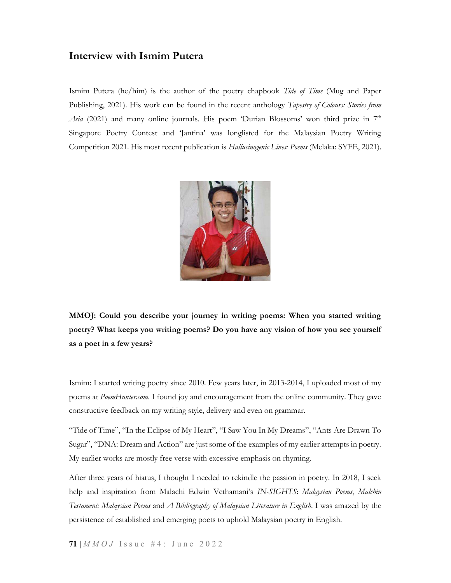### Interview with Ismim Putera

Ismim Putera (he/him) is the author of the poetry chapbook Tide of Time (Mug and Paper Publishing, 2021). His work can be found in the recent anthology Tapestry of Colours: Stories from Asia (2021) and many online journals. His poem 'Durian Blossoms' won third prize in  $7<sup>th</sup>$ Singapore Poetry Contest and 'Jantina' was longlisted for the Malaysian Poetry Writing Competition 2021. His most recent publication is Hallucinogenic Lines: Poems (Melaka: SYFE, 2021).



MMOJ: Could you describe your journey in writing poems: When you started writing poetry? What keeps you writing poems? Do you have any vision of how you see yourself as a poet in a few years?

Ismim: I started writing poetry since 2010. Few years later, in 2013-2014, I uploaded most of my poems at PoemHunter.com. I found joy and encouragement from the online community. They gave constructive feedback on my writing style, delivery and even on grammar.

"Tide of Time", "In the Eclipse of My Heart", "I Saw You In My Dreams", "Ants Are Drawn To Sugar", "DNA: Dream and Action" are just some of the examples of my earlier attempts in poetry. My earlier works are mostly free verse with excessive emphasis on rhyming.

After three years of hiatus, I thought I needed to rekindle the passion in poetry. In 2018, I seek help and inspiration from Malachi Edwin Vethamani's IN-SIGHTS: Malaysian Poems, Malchin Testament: Malaysian Poems and A Bibliography of Malaysian Literature in English. I was amazed by the persistence of established and emerging poets to uphold Malaysian poetry in English.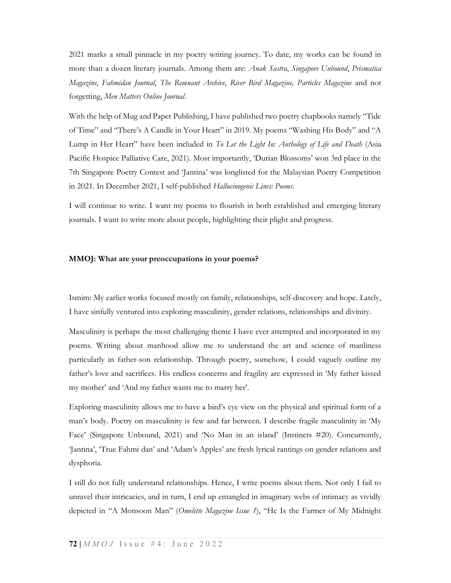2021 marks a small pinnacle in my poetry writing journey. To date, my works can be found in more than a dozen literary journals. Among them are: Anak Sastra, Singapore Unbound, Prismatica Magazine, Fahmidan Journal, The Remnant Archive, River Bird Magazine, Particles Magazine and not forgetting, Men Matters Online Journal.

With the help of Mug and Paper Publishing, I have published two poetry chapbooks namely "Tide of Time" and "There's A Candle in Your Heart" in 2019. My poems "Washing His Body" and "A Lump in Her Heart" have been included in To Let the Light In: Anthology of Life and Death (Asia Pacific Hospice Palliative Care, 2021). Most importantly, 'Durian Blossoms' won 3rd place in the 7th Singapore Poetry Contest and 'Jantina' was longlisted for the Malaysian Poetry Competition in 2021. In December 2021, I self-published Hallucinogenic Lines: Poems.

I will continue to write. I want my poems to flourish in both established and emerging literary journals. I want to write more about people, highlighting their plight and progress.

#### MMOJ: What are your preoccupations in your poems?

Ismim: My earlier works focused mostly on family, relationships, self-discovery and hope. Lately, I have sinfully ventured into exploring masculinity, gender relations, relationships and divinity.

Masculinity is perhaps the most challenging theme I have ever attempted and incorporated in my poems. Writing about manhood allow me to understand the art and science of manliness particularly in father-son relationship. Through poetry, somehow, I could vaguely outline my father's love and sacrifices. His endless concerns and fragility are expressed in 'My father kissed my mother' and 'And my father wants me to marry her'.

Exploring masculinity allows me to have a bird's eye view on the physical and spiritual form of a man's body. Poetry on masculinity is few and far between. I describe fragile masculinity in 'My Face' (Singapore Unbound, 2021) and 'No Man in an island' (Instincts #20). Concurrently, 'Jantina', 'True Fahmi dan' and 'Adam's Apples' are fresh lyrical rantings on gender relations and dysphoria.

I still do not fully understand relationships. Hence, I write poems about them. Not only I fail to unravel their intricacies, and in turn, I end up entangled in imaginary webs of intimacy as vividly depicted in "A Monsoon Man" (Omelette Magazine Issue 1), "He Is the Farmer of My Midnight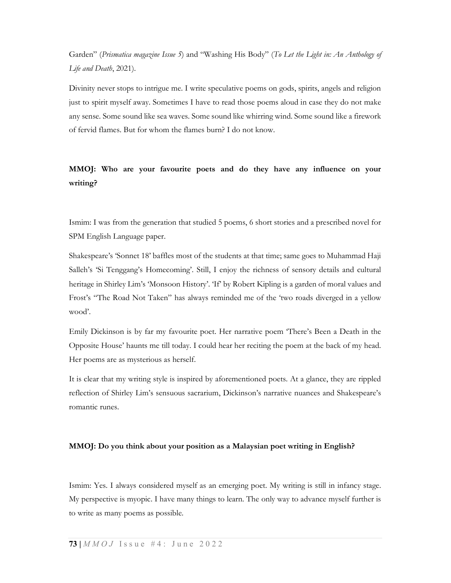Garden" (Prismatica magazine Issue 5) and "Washing His Body" (To Let the Light in: An Anthology of Life and Death, 2021).

Divinity never stops to intrigue me. I write speculative poems on gods, spirits, angels and religion just to spirit myself away. Sometimes I have to read those poems aloud in case they do not make any sense. Some sound like sea waves. Some sound like whirring wind. Some sound like a firework of fervid flames. But for whom the flames burn? I do not know.

### MMOJ: Who are your favourite poets and do they have any influence on your writing?

Ismim: I was from the generation that studied 5 poems, 6 short stories and a prescribed novel for SPM English Language paper.

Shakespeare's 'Sonnet 18' baffles most of the students at that time; same goes to Muhammad Haji Salleh's 'Si Tenggang's Homecoming'. Still, I enjoy the richness of sensory details and cultural heritage in Shirley Lim's 'Monsoon History'. 'If' by Robert Kipling is a garden of moral values and Frost's "The Road Not Taken" has always reminded me of the 'two roads diverged in a yellow wood'.

Emily Dickinson is by far my favourite poet. Her narrative poem 'There's Been a Death in the Opposite House' haunts me till today. I could hear her reciting the poem at the back of my head. Her poems are as mysterious as herself.

It is clear that my writing style is inspired by aforementioned poets. At a glance, they are rippled reflection of Shirley Lim's sensuous sacrarium, Dickinson's narrative nuances and Shakespeare's romantic runes.

#### MMOJ: Do you think about your position as a Malaysian poet writing in English?

Ismim: Yes. I always considered myself as an emerging poet. My writing is still in infancy stage. My perspective is myopic. I have many things to learn. The only way to advance myself further is to write as many poems as possible.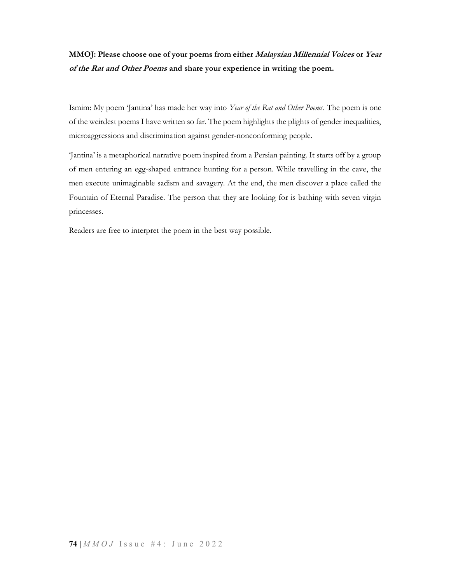## MMOJ: Please choose one of your poems from either Malaysian Millennial Voices or Year of the Rat and Other Poems and share your experience in writing the poem.

Ismim: My poem 'Jantina' has made her way into Year of the Rat and Other Poems. The poem is one of the weirdest poems I have written so far. The poem highlights the plights of gender inequalities, microaggressions and discrimination against gender-nonconforming people.

'Jantina' is a metaphorical narrative poem inspired from a Persian painting. It starts off by a group of men entering an egg-shaped entrance hunting for a person. While travelling in the cave, the men execute unimaginable sadism and savagery. At the end, the men discover a place called the Fountain of Eternal Paradise. The person that they are looking for is bathing with seven virgin princesses.

Readers are free to interpret the poem in the best way possible.